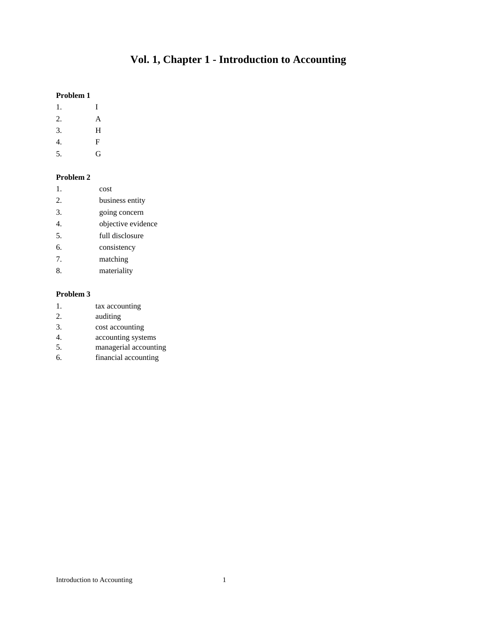# **Vol. 1, Chapter 1 - Introduction to Accounting**

#### **Problem 1**

- 1. I
- 2. A
- 3. H
- 4. F
- 5. G

### **Problem 2**

- 1. cost
- 2. business entity
- 3. going concern
- 4. objective evidence
- 5. full disclosure
- 6. consistency
- 7. matching
- 8. materiality

- 1. tax accounting
- 2. auditing
- 3. cost accounting
- 4. accounting systems
- 5. managerial accounting
- 6. financial accounting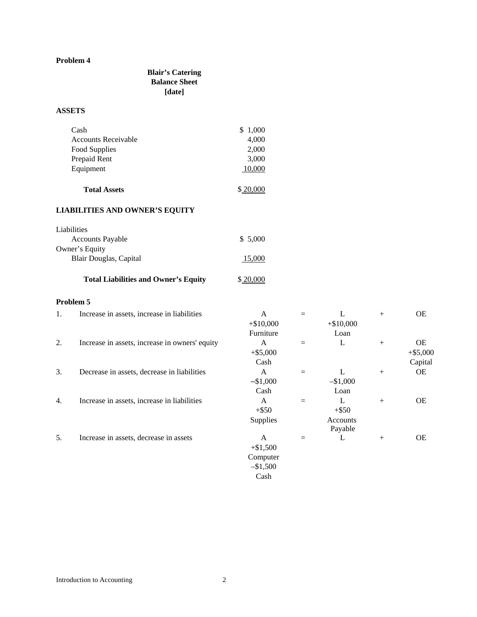# **Blair's Catering Balance Sheet [date]**

# **ASSETS**

| Cash                       | \$1,000 |
|----------------------------|---------|
| <b>Accounts Receivable</b> | 4,000   |
| Food Supplies              | 2,000   |
| Prepaid Rent               | 3,000   |
| Equipment                  | 10.000  |
|                            |         |

**Total Assets**  $$20,000$ 

# **LIABILITIES AND OWNER'S EQUITY**

| Liabilities             |         |
|-------------------------|---------|
| <b>Accounts Payable</b> | \$5,000 |
| Owner's Equity          |         |
| Blair Douglas, Capital  | 15,000  |
|                         |         |

# Total Liabilities and Owner's Equity  $$20,000$

| 1. | Increase in assets, increase in liabilities    | A               |     | L           | $+$    | <b>OE</b>  |
|----|------------------------------------------------|-----------------|-----|-------------|--------|------------|
|    |                                                | $+ $10,000$     |     | $+ $10,000$ |        |            |
|    |                                                | Furniture       |     | Loan        |        |            |
| 2. | Increase in assets, increase in owners' equity | A               |     | L           | $^{+}$ | <b>OE</b>  |
|    |                                                | $+ $5,000$      |     |             |        | $+ $5,000$ |
|    |                                                | Cash            |     |             |        | Capital    |
| 3. | Decrease in assets, decrease in liabilities    | A               | $=$ | L           | $^{+}$ | <b>OE</b>  |
|    |                                                | $-$1,000$       |     | $-$1,000$   |        |            |
|    |                                                | Cash            |     | Loan        |        |            |
| 4. | Increase in assets, increase in liabilities    | A               |     | L           | $^{+}$ | <b>OE</b>  |
|    |                                                | $+$ \$50        |     | $+$ \$50    |        |            |
|    |                                                | <b>Supplies</b> |     | Accounts    |        |            |
|    |                                                |                 |     | Payable     |        |            |
| 5. | Increase in assets, decrease in assets         | A               |     | L           | $^{+}$ | <b>OE</b>  |
|    |                                                | $+ $1,500$      |     |             |        |            |
|    |                                                | Computer        |     |             |        |            |
|    |                                                | $-\$1,500$      |     |             |        |            |
|    |                                                | Cash            |     |             |        |            |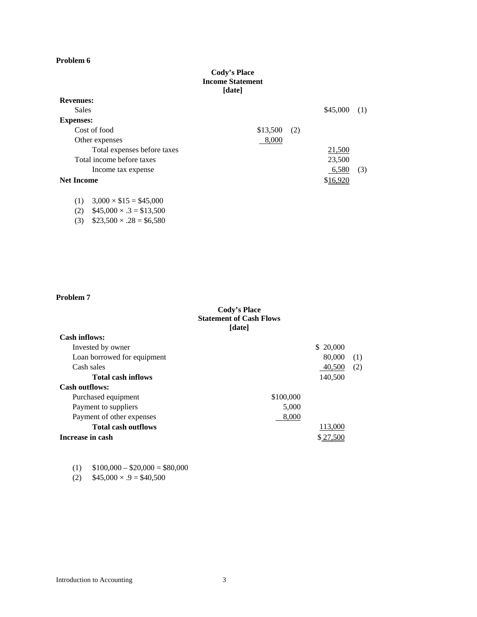#### **Cody's Place Income Statement [date]**

| <b>Revenues:</b>                   |          |     |          |     |
|------------------------------------|----------|-----|----------|-----|
| Sales                              |          |     | \$45,000 | (1) |
| <b>Expenses:</b>                   |          |     |          |     |
| Cost of food                       | \$13,500 | (2) |          |     |
| Other expenses                     | 8,000    |     |          |     |
| Total expenses before taxes        |          |     | 21,500   |     |
| Total income before taxes          |          |     | 23,500   |     |
| Income tax expense                 |          |     | 6,580    | (3) |
| <b>Net Income</b>                  |          |     | \$16,920 |     |
|                                    |          |     |          |     |
| $3.000 \times 15 = 145.000$<br>(1) |          |     |          |     |

(1)  $3,000 \times $15 = $45,000$ 

 $(2)$  \$45,000  $\times$  .3 = \$13,500

(3)  $$23,500 \times .28 = $6,580$ 

# **Problem 7**

### **Cody's Place Statement of Cash Flows [date]**

| <b>Cash inflows:</b>        |           |           |     |
|-----------------------------|-----------|-----------|-----|
| Invested by owner           |           | \$ 20,000 |     |
| Loan borrowed for equipment |           | 80,000    | (1) |
| Cash sales                  |           | 40,500    | (2) |
| <b>Total cash inflows</b>   |           | 140,500   |     |
| <b>Cash outflows:</b>       |           |           |     |
| Purchased equipment         | \$100,000 |           |     |
| Payment to suppliers        | 5,000     |           |     |
| Payment of other expenses   | 8,000     |           |     |
| <b>Total cash outflows</b>  |           | 113,000   |     |
| Increase in cash            |           |           |     |

| (1) | $$100,000 - $20,000 = $80,000$ |  |  |
|-----|--------------------------------|--|--|
|-----|--------------------------------|--|--|

(2)  $$45,000 \times .9 = $40,500$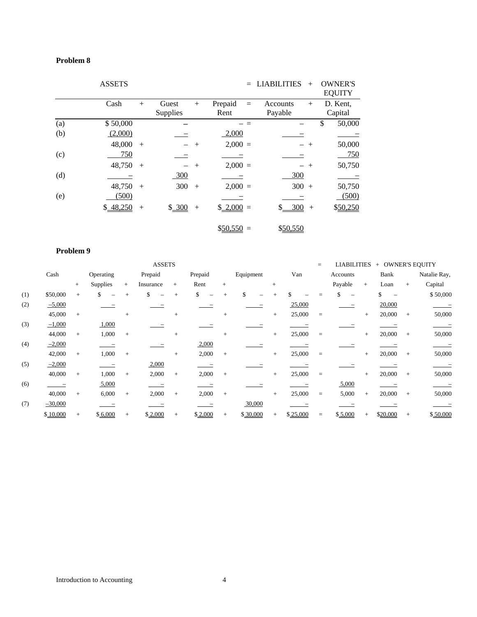|     | <b>ASSETS</b> |        |          |        |             | $=$ | <b>LIABILITIES</b> | $+$    | <b>OWNER'S</b><br><b>EQUITY</b> |
|-----|---------------|--------|----------|--------|-------------|-----|--------------------|--------|---------------------------------|
|     | Cash          | $+$    | Guest    | $^{+}$ | Prepaid     | $=$ | Accounts           | $^{+}$ | D. Kent,                        |
|     |               |        | Supplies |        | Rent        |     | Payable            |        | Capital                         |
| (a) | \$50,000      |        |          |        |             |     |                    |        | \$<br>50,000                    |
| (b) | (2,000)       |        |          |        | 2,000       |     |                    |        |                                 |
|     | 48,000        | $+$    |          | $+$    | $2,000 =$   |     |                    | $+$    | 50,000                          |
| (c) | 750           |        |          |        |             |     |                    |        | 750                             |
|     | 48,750        | $+$    |          | $+$    | $2,000 =$   |     |                    | $^{+}$ | 50,750                          |
| (d) |               |        | 300      |        |             |     | 300                |        |                                 |
|     | 48,750        | $+$    | 300      | $+$    | $2,000 =$   |     | 300                | $+$    | 50,750                          |
| (e) | (500)         |        |          |        |             |     |                    |        | (500)                           |
|     | \$48,250      | $^{+}$ | \$300    | $+$    | $$2,000 =$  |     | 300<br>\$          | $+$    | \$50,250                        |
|     |               |        |          |        | $$50,550 =$ |     | \$50,550           |        |                                 |

|     |           |     |           |        | <b>ASSETS</b> |     |         |        |           |        |          | $=$      | <b>LIABILITIES</b>              |        | + OWNER'S EQUITY |        |              |
|-----|-----------|-----|-----------|--------|---------------|-----|---------|--------|-----------|--------|----------|----------|---------------------------------|--------|------------------|--------|--------------|
|     | Cash      |     | Operating |        | Prepaid       |     | Prepaid |        | Equipment |        | Van      |          | Accounts                        |        | Bank             |        | Natalie Ray, |
|     |           | $+$ | Supplies  | $^{+}$ | Insurance     | $+$ | Rent    | $^{+}$ |           | $+$    |          |          | Payable                         | $^{+}$ | Loan             | $+$    | Capital      |
| (1) | \$50,000  | $+$ | \$        |        | \$            | $+$ | \$      |        | \$        |        |          |          |                                 |        |                  |        | \$50,000     |
| (2) | $-5,000$  |     |           |        |               |     |         |        |           |        | 25,000   |          | $\hspace{0.1mm}-\hspace{0.1mm}$ |        | 20,000           |        |              |
|     | 45,000    | $+$ |           | $+$    |               | $+$ |         | $+$    |           | $+$    | 25,000   | $=$      |                                 | $+$    | 20,000           | $+$    | 50,000       |
| (3) | $-1,000$  |     | 1,000     |        |               |     |         |        |           |        |          |          |                                 |        |                  |        |              |
|     | 44,000    | $+$ | 1,000     | $+$    |               | $+$ |         | $+$    |           | $+$    | 25,000   | $=$      |                                 | $+$    | 20,000           | $+$    | 50,000       |
| (4) | $-2,000$  |     |           |        |               |     | 2,000   |        |           |        |          |          |                                 |        |                  |        |              |
|     | 42,000    | $+$ | 1,000     | $+$    |               | $+$ | 2,000   | $+$    |           | $+$    | 25,000   | $=$      |                                 | $+$    | 20,000           | $+$    | 50,000       |
| (5) | $-2,000$  |     |           |        | 2,000         |     |         |        |           |        |          |          |                                 |        |                  |        |              |
|     | 40,000    | $+$ | 1,000     | $+$    | 2,000         | $+$ | 2,000   | $+$    |           | $^{+}$ | 25,000   | $=$      |                                 | $+$    | 20,000           | $+$    | 50,000       |
| (6) |           |     | 5,000     |        |               |     |         |        |           |        |          |          | 5,000                           |        |                  |        |              |
|     | 40,000    | $+$ | 6,000     | $+$    | 2,000         | $+$ | 2,000   | $+$    |           | $+$    | 25,000   | $\equiv$ | 5,000                           | $+$    | 20,000           | $+$    | 50,000       |
| (7) | $-30,000$ |     |           |        |               |     |         |        | 30,000    |        |          |          |                                 |        |                  |        |              |
|     | \$10,000  | $+$ | \$6,000   | $+$    | \$2,000       |     | \$2,000 | $+$    | \$30,000  | $^{+}$ | \$25,000 | $=$      | \$5,000                         |        | \$20,000         | $^{+}$ | \$50,000     |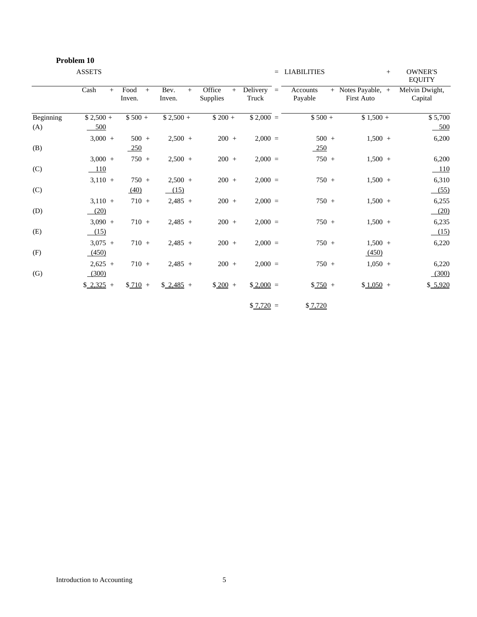|           | Problem 10          |                       |                       |                           |                       |                     |                                         |                                 |
|-----------|---------------------|-----------------------|-----------------------|---------------------------|-----------------------|---------------------|-----------------------------------------|---------------------------------|
|           | <b>ASSETS</b>       |                       |                       |                           |                       | $=$ LIABILITIES     | $+$                                     | <b>OWNER'S</b><br><b>EQUITY</b> |
|           | Cash<br>$+$         | Food<br>$+$<br>Inven. | Bev.<br>$+$<br>Inven. | Office<br>$+$<br>Supplies | Delivery $=$<br>Truck | Accounts<br>Payable | + Notes Payable, +<br><b>First Auto</b> | Melvin Dwight,<br>Capital       |
| Beginning | $$2,500 +$          | $$500 +$              | $$2,500 +$            | $$200 +$                  | $$2,000 =$            | $$500 +$            | $$1,500 +$                              | \$5,700                         |
| (A)       | 500                 |                       |                       |                           |                       |                     |                                         | 500                             |
|           | $3,000 +$           | $500 +$               | $2,500 +$             | $200 +$                   | $2,000 =$             | $500 +$             | $1,500 +$                               | 6,200                           |
| (B)       |                     | 250                   |                       |                           |                       | $-250$              |                                         |                                 |
|           | $3,000 +$           | $750 +$               | $2,500 +$             | $200 +$                   | $2,000 =$             | $750 +$             | $1,500 +$                               | 6,200                           |
| (C)       | $-110$              |                       |                       |                           |                       |                     |                                         | $-110$                          |
|           | $3,110 +$           | $750 +$               | $2,500 +$             | $200 +$                   | $2,000 =$             | $750 +$             | $1,500 +$                               | 6,310                           |
| (C)       |                     | (40)                  | (15)                  |                           |                       |                     |                                         | (55)                            |
|           | $3,110 +$           | $710 +$               | $2,485 +$             | $200 +$                   | $2,000 =$             | $750 +$             | $1,500 +$                               | 6,255                           |
| (D)       | (20)                |                       |                       |                           |                       |                     |                                         | (20)                            |
|           | $3,090 +$           | $710 +$               | $2,485 +$             | $200 +$                   | $2,000 =$             | $750 +$             | $1,500 +$                               | 6,235                           |
| (E)       | (15)                |                       |                       |                           |                       |                     |                                         | (15)                            |
|           | $3,075 +$           | $710 +$               | $2,485 +$             | $200 +$                   | $2,000 =$             | $750 +$             | $1,500 +$                               | 6,220                           |
| (F)       | (450)               |                       |                       |                           |                       |                     | (450)                                   |                                 |
|           | $2,625 +$           | $710 +$               | $2,485 +$             | $200 +$                   | $2,000 =$             | $750 +$             | $1,050 +$                               | 6,220                           |
| (G)       | (300)               |                       |                       |                           |                       |                     |                                         | (300)                           |
|           | $\frac{2,325}{ }$ + | $$710 +$              | $$2,485$ +            | $$200 +$                  | $$2,000 =$            | $$750 +$            | $$1,050 +$                              | \$ 5,920                        |
|           |                     |                       |                       |                           | $$7,720 =$            | \$7,720             |                                         |                                 |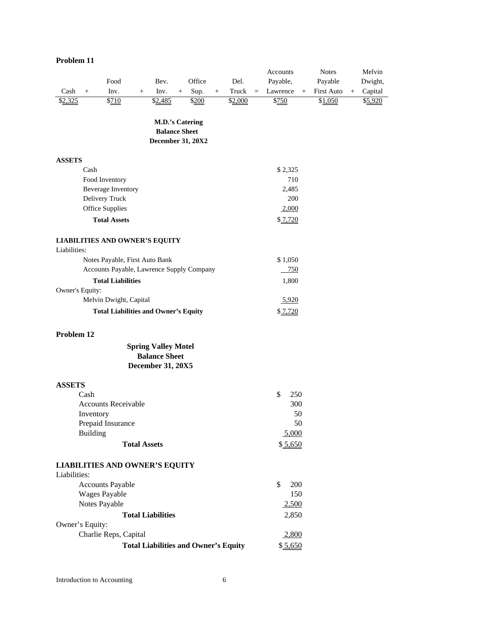|                 |                 |                                             |                     |                                                    |        |        |        |         |     | Accounts  |        | <b>Notes</b>      |     | Melvin  |
|-----------------|-----------------|---------------------------------------------|---------------------|----------------------------------------------------|--------|--------|--------|---------|-----|-----------|--------|-------------------|-----|---------|
|                 |                 | Food                                        |                     | Bev.                                               |        | Office |        | Del.    |     | Payable,  |        | Payable           |     | Dwight, |
| Cash            | $+$             | Inv.                                        | $+$                 | Inv.                                               | $^{+}$ | Sup.   | $^{+}$ | Truck   | $=$ | Lawrence  | $^{+}$ | <b>First Auto</b> | $+$ | Capital |
| \$2,325         |                 | \$710                                       |                     | \$2,485                                            |        | \$200  |        | \$2,000 |     | \$750     |        | \$1,050           |     | \$5,920 |
|                 |                 |                                             |                     |                                                    |        |        |        |         |     |           |        |                   |     |         |
|                 |                 |                                             |                     | <b>M.D.'s Catering</b>                             |        |        |        |         |     |           |        |                   |     |         |
|                 |                 |                                             |                     | <b>Balance Sheet</b><br><b>December 31, 20X2</b>   |        |        |        |         |     |           |        |                   |     |         |
|                 |                 |                                             |                     |                                                    |        |        |        |         |     |           |        |                   |     |         |
| <b>ASSETS</b>   |                 |                                             |                     |                                                    |        |        |        |         |     |           |        |                   |     |         |
|                 | Cash            |                                             |                     |                                                    |        |        |        |         |     | \$2,325   |        |                   |     |         |
|                 |                 | Food Inventory                              |                     |                                                    |        |        |        |         |     | 710       |        |                   |     |         |
|                 |                 | Beverage Inventory                          |                     |                                                    |        |        |        |         |     | 2,485     |        |                   |     |         |
|                 |                 | Delivery Truck                              |                     |                                                    |        |        |        |         |     | 200       |        |                   |     |         |
|                 |                 | Office Supplies                             |                     |                                                    |        |        |        |         |     | 2,000     |        |                   |     |         |
|                 |                 | <b>Total Assets</b>                         |                     |                                                    |        |        |        |         |     | \$7,720   |        |                   |     |         |
|                 |                 | <b>LIABILITIES AND OWNER'S EQUITY</b>       |                     |                                                    |        |        |        |         |     |           |        |                   |     |         |
| Liabilities:    |                 |                                             |                     |                                                    |        |        |        |         |     |           |        |                   |     |         |
|                 |                 | Notes Payable, First Auto Bank              |                     |                                                    |        |        |        |         |     | \$1,050   |        |                   |     |         |
|                 |                 | Accounts Payable, Lawrence Supply Company   |                     |                                                    |        |        |        |         |     | 750       |        |                   |     |         |
|                 |                 | <b>Total Liabilities</b>                    |                     |                                                    |        |        |        |         |     | 1,800     |        |                   |     |         |
| Owner's Equity: |                 |                                             |                     |                                                    |        |        |        |         |     |           |        |                   |     |         |
|                 |                 | Melvin Dwight, Capital                      |                     |                                                    |        |        |        |         |     | 5,920     |        |                   |     |         |
|                 |                 | <b>Total Liabilities and Owner's Equity</b> |                     |                                                    |        |        |        |         |     | \$7,720   |        |                   |     |         |
|                 |                 |                                             |                     |                                                    |        |        |        |         |     |           |        |                   |     |         |
| Problem 12      |                 |                                             |                     |                                                    |        |        |        |         |     |           |        |                   |     |         |
|                 |                 |                                             |                     | <b>Spring Valley Motel</b><br><b>Balance Sheet</b> |        |        |        |         |     |           |        |                   |     |         |
|                 |                 |                                             |                     | <b>December 31, 20X5</b>                           |        |        |        |         |     |           |        |                   |     |         |
|                 |                 |                                             |                     |                                                    |        |        |        |         |     |           |        |                   |     |         |
| <b>ASSETS</b>   |                 |                                             |                     |                                                    |        |        |        |         |     |           |        |                   |     |         |
|                 | Cash            |                                             |                     |                                                    |        |        |        |         |     | \$<br>250 |        |                   |     |         |
|                 |                 | <b>Accounts Receivable</b>                  |                     |                                                    |        |        |        |         |     | 300       |        |                   |     |         |
|                 | Inventory       |                                             |                     |                                                    |        |        |        |         |     | 50        |        |                   |     |         |
|                 |                 | Prepaid Insurance                           |                     |                                                    |        |        |        |         |     | 50        |        |                   |     |         |
|                 | <b>Building</b> |                                             |                     |                                                    |        |        |        |         |     | 5,000     |        |                   |     |         |
|                 |                 |                                             | <b>Total Assets</b> |                                                    |        |        |        |         |     | \$5,650   |        |                   |     |         |
|                 |                 | <b>LIABILITIES AND OWNER'S EQUITY</b>       |                     |                                                    |        |        |        |         |     |           |        |                   |     |         |
| Liabilities:    |                 |                                             |                     |                                                    |        |        |        |         |     |           |        |                   |     |         |
|                 |                 | <b>Accounts Payable</b>                     |                     |                                                    |        |        |        |         |     | \$<br>200 |        |                   |     |         |
|                 |                 | <b>Wages Payable</b>                        |                     |                                                    |        |        |        |         |     | 150       |        |                   |     |         |
|                 |                 | Notes Payable                               |                     |                                                    |        |        |        |         |     | 2,500     |        |                   |     |         |
|                 |                 |                                             |                     | <b>Total Liabilities</b>                           |        |        |        |         |     | 2,850     |        |                   |     |         |
| Owner's Equity: |                 |                                             |                     |                                                    |        |        |        |         |     |           |        |                   |     |         |
|                 |                 | Charlie Reps, Capital                       |                     |                                                    |        |        |        |         |     | 2,800     |        |                   |     |         |
|                 |                 |                                             |                     | <b>Total Liabilities and Owner's Equity</b>        |        |        |        |         |     | \$5,650   |        |                   |     |         |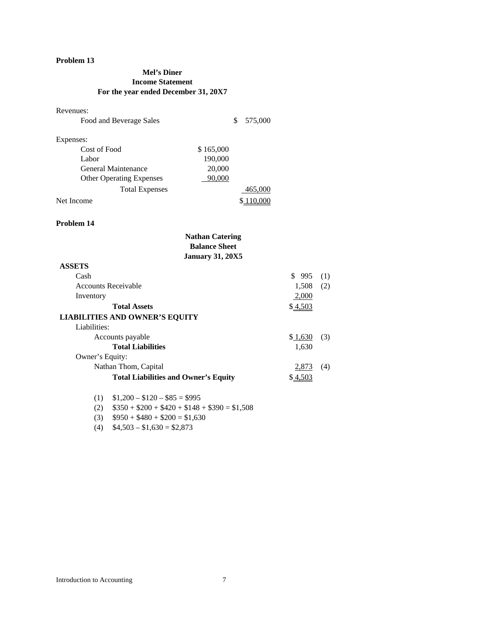### **Mel's Diner Income Statement For the year ended December 31, 20X7**

#### Revenues:

| Food and Beverage Sales         |           | 575,000 |
|---------------------------------|-----------|---------|
| Expenses:                       |           |         |
| Cost of Food                    | \$165,000 |         |
| Labor                           | 190,000   |         |
| General Maintenance             | 20,000    |         |
| <b>Other Operating Expenses</b> | 90,000    |         |
| <b>Total Expenses</b>           |           | 465,000 |
| Net Income                      |           | 110,000 |

#### **Problem 14**

| <b>Nathan Catering</b>                      |          |     |
|---------------------------------------------|----------|-----|
| <b>Balance Sheet</b>                        |          |     |
| <b>January 31, 20X5</b>                     |          |     |
| <b>ASSETS</b>                               |          |     |
| Cash                                        | \$995    | (1) |
| <b>Accounts Receivable</b>                  | 1,508    | (2) |
| Inventory                                   | 2,000    |     |
| <b>Total Assets</b>                         | \$4,503  |     |
| <b>LIABILITIES AND OWNER'S EQUITY</b>       |          |     |
| Liabilities:                                |          |     |
| Accounts payable                            | \$1,630  | (3) |
| <b>Total Liabilities</b>                    | 1,630    |     |
| Owner's Equity:                             |          |     |
| Nathan Thom, Capital                        | 2,873    | (4) |
| <b>Total Liabilities and Owner's Equity</b> | \$ 4,503 |     |
| $$1,200 - $120 - $85 = $995$<br>(1)         |          |     |

(2)  $$350 + $200 + $420 + $148 + $390 = $1,508$ 

(3)  $$950 + $480 + $200 = $1,630$ 

(4)  $$4,503 - $1,630 = $2,873$